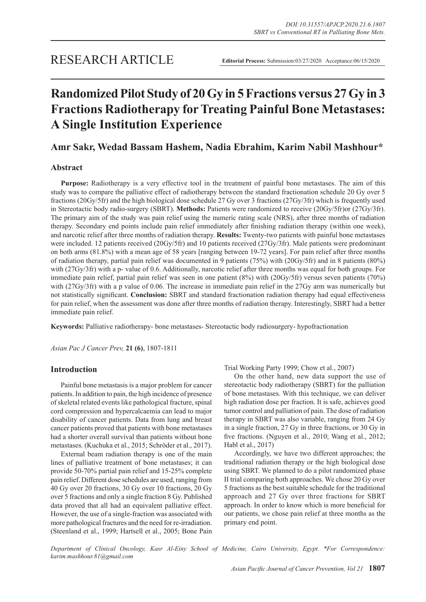# **Randomized Pilot Study of 20 Gy in 5 Fractions versus 27 Gy in 3 Fractions Radiotherapy for Treating Painful Bone Metastases: A Single Institution Experience**

# **Amr Sakr, Wedad Bassam Hashem, Nadia Ebrahim, Karim Nabil Mashhour\***

# **Abstract**

**Purpose:** Radiotherapy is a very effective tool in the treatment of painful bone metastases. The aim of this study was to compare the palliative effect of radiotherapy between the standard fractionation schedule 20 Gy over 5 fractions (20Gy/5fr) and the high biological dose schedule 27 Gy over 3 fractions (27Gy/3fr) which is frequently used in Stereotactic body radio-surgery (SBRT). **Methods:** Patients were randomized to receive (20Gy/5fr)or (27Gy/3fr). The primary aim of the study was pain relief using the numeric rating scale (NRS), after three months of radiation therapy. Secondary end points include pain relief immediately after finishing radiation therapy (within one week), and narcotic relief after three months of radiation therapy. **Results:** Twenty-two patients with painful bone metastases were included. 12 patients received (20Gy/5fr) and 10 patients received (27Gy/3fr). Male patients were predominant on both arms (81.8%) with a mean age of 58 years [ranging between 19-72 years]. For pain relief after three months of radiation therapy, partial pain relief was documented in 9 patients (75%) with (20Gy/5fr) and in 8 patients (80%) with (27Gy/3fr) with a p- value of 0.6. Additionally, narcotic relief after three months was equal for both groups. For immediate pain relief, partial pain relief was seen in one patient (8%) with (20Gy/5fr) versus seven patients (70%) with (27Gy/3fr) with a p value of 0.06. The increase in immediate pain relief in the 27Gy arm was numerically but not statistically significant. **Conclusion:** SBRT and standard fractionation radiation therapy had equal effectiveness for pain relief, when the assessment was done after three months of radiation therapy. Interestingly, SBRT had a better immediate pain relief.

**Keywords:** Palliative radiotherapy- bone metastases- Stereotactic body radiosurgery- hypofractionation

*Asian Pac J Cancer Prev,* **21 (6)**, 1807-1811

## **Introduction**

Painful bone metastasis is a major problem for cancer patients. In addition to pain, the high incidence of presence of skeletal related events like pathological fracture, spinal cord compression and hypercalcaemia can lead to major disability of cancer patients. Data from lung and breast cancer patients proved that patients with bone metastases had a shorter overall survival than patients without bone metastases. (Kuchuka et al., 2015; Schröder et al., 2017).

External beam radiation therapy is one of the main lines of palliative treatment of bone metastases; it can provide 50-70% partial pain relief and 15-25% complete pain relief. Different dose schedules are used, ranging from 40 Gy over 20 fractions, 30 Gy over 10 fractions, 20 Gy over 5 fractions and only a single fraction 8 Gy. Published data proved that all had an equivalent palliative effect. However, the use of a single-fraction was associated with more pathological fractures and the need for re-irradiation. (Steenland et al., 1999; Hartsell et al., 2005; Bone Pain Trial Working Party 1999; Chow et al., 2007)

On the other hand, new data support the use of stereotactic body radiotherapy (SBRT) for the palliation of bone metastases. With this technique, we can deliver high radiation dose per fraction. It is safe, achieves good tumor control and palliation of pain. The dose of radiation therapy in SBRT was also variable, ranging from 24 Gy in a single fraction, 27 Gy in three fractions, or 30 Gy in five fractions. (Nguyen et al., 2010; Wang et al., 2012; Habl et al., 2017)

Accordingly, we have two different approaches; the traditional radiation therapy or the high biological dose using SBRT. We planned to do a pilot randomized phase II trial comparing both approaches. We chose 20 Gy over 5 fractions as the best suitable schedule for the traditional approach and 27 Gy over three fractions for SBRT approach. In order to know which is more beneficial for our patients, we chose pain relief at three months as the primary end point.

*Department of Clinical Oncology, Kasr Al-Einy School of Medicine, Cairo University, Egypt. \*For Correspondence: karim.mashhour.81@gmail.com*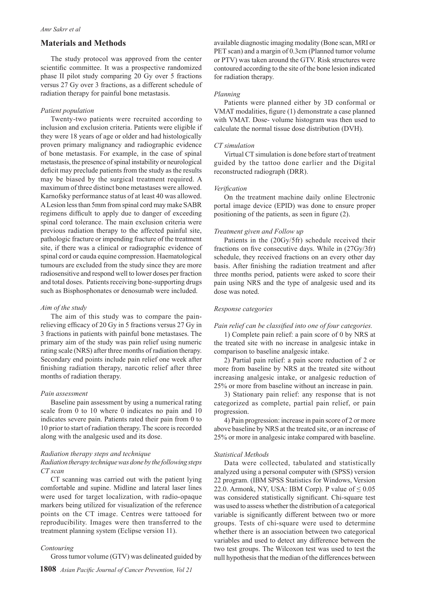## **Materials and Methods**

The study protocol was approved from the center scientific committee. It was a prospective randomized phase II pilot study comparing 20 Gy over 5 fractions versus 27 Gy over 3 fractions, as a different schedule of radiation therapy for painful bone metastasis.

#### *Patient population*

Twenty-two patients were recruited according to inclusion and exclusion criteria. Patients were eligible if they were 18 years of age or older and had histologically proven primary malignancy and radiographic evidence of bone metastasis. For example, in the case of spinal metastasis, the presence of spinal instability or neurological deficit may preclude patients from the study as the results may be biased by the surgical treatment required. A maximum of three distinct bone metastases were allowed. Karnofsky performance status of at least 40 was allowed. A Lesion less than 5mm from spinal cord may make SABR regimens difficult to apply due to danger of exceeding spinal cord tolerance. The main exclusion criteria were previous radiation therapy to the affected painful site, pathologic fracture or impending fracture of the treatment site, if there was a clinical or radiographic evidence of spinal cord or cauda equine compression. Haematological tumours are excluded from the study since they are more radiosensitive and respond well to lower doses per fraction and total doses. Patients receiving bone-supporting drugs such as Bisphosphonates or denosumab were included.

## *Aim of the study*

The aim of this study was to compare the painrelieving efficacy of 20 Gy in 5 fractions versus 27 Gy in 3 fractions in patients with painful bone metastases. The primary aim of the study was pain relief using numeric rating scale (NRS) after three months of radiation therapy. Secondary end points include pain relief one week after finishing radiation therapy, narcotic relief after three months of radiation therapy.

#### *Pain assessment*

Baseline pain assessment by using a numerical rating scale from 0 to 10 where 0 indicates no pain and 10 indicates severe pain. Patients rated their pain from 0 to 10 prior to start of radiation therapy. The score is recorded along with the analgesic used and its dose.

#### *Radiation therapy steps and technique*

## *Radiation therapy technique was done by the following steps CT scan*

CT scanning was carried out with the patient lying comfortable and supine. Midline and lateral laser lines were used for target localization, with radio-opaque markers being utilized for visualization of the reference points on the CT image. Centres were tattooed for reproducibility. Images were then transferred to the treatment planning system (Eclipse version 11).

## *Contouring*

Gross tumor volume (GTV) was delineated guided by

available diagnostic imaging modality (Bone scan, MRI or PET scan) and a margin of 0.3cm (Planned tumor volume or PTV) was taken around the GTV. Risk structures were contoured according to the site of the bone lesion indicated for radiation therapy.

#### *Planning*

Patients were planned either by 3D conformal or VMAT modalities, figure (1) demonstrate a case planned with VMAT. Dose- volume histogram was then used to calculate the normal tissue dose distribution (DVH).

#### *CT simulation*

Virtual CT simulation is done before start of treatment guided by the tattoo done earlier and the Digital reconstructed radiograph (DRR).

#### *Verification*

On the treatment machine daily online Electronic portal image device (EPID) was done to ensure proper positioning of the patients, as seen in figure (2).

#### *Treatment given and Follow up*

Patients in the (20Gy/5fr) schedule received their fractions on five consecutive days. While in (27Gy/3fr) schedule, they received fractions on an every other day basis. After finishing the radiation treatment and after three months period, patients were asked to score their pain using NRS and the type of analgesic used and its dose was noted.

#### *Response categories*

#### *Pain relief can be classified into one of four categories.*

1) Complete pain relief: a pain score of 0 by NRS at the treated site with no increase in analgesic intake in comparison to baseline analgesic intake.

2) Partial pain relief: a pain score reduction of 2 or more from baseline by NRS at the treated site without increasing analgesic intake, or analgesic reduction of 25% or more from baseline without an increase in pain.

3) Stationary pain relief: any response that is not categorized as complete, partial pain relief, or pain progression.

4) Pain progression: increase in pain score of 2 or more above baseline by NRS at the treated site, or an increase of 25% or more in analgesic intake compared with baseline.

#### *Statistical Methods*

Data were collected, tabulated and statistically analyzed using a personal computer with (SPSS) version 22 program. (IBM SPSS Statistics for Windows, Version 22.0. Armonk, NY, USA: IBM Corp). P value of  $\leq 0.05$ was considered statistically significant. Chi-square test was used to assess whether the distribution of a categorical variable is significantly different between two or more groups. Tests of chi-square were used to determine whether there is an association between two categorical variables and used to detect any difference between the two test groups. The Wilcoxon test was used to test the null hypothesis that the median of the differences between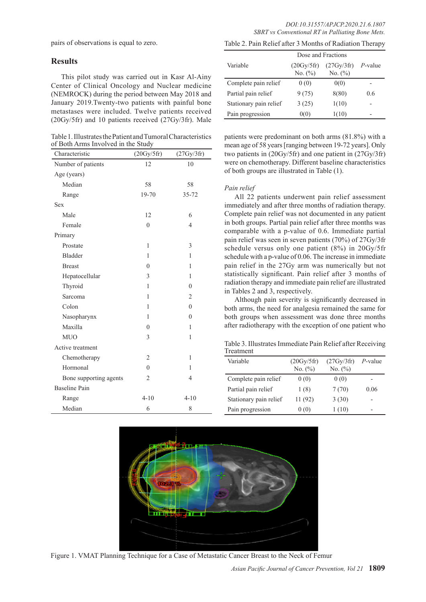pairs of observations is equal to zero.

## **Results**

This pilot study was carried out in Kasr Al-Ainy Center of Clinical Oncology and Nuclear medicine (NEMROCK) during the period between May 2018 and January 2019.Twenty-two patients with painful bone metastases were included. Twelve patients received (20Gy/5fr) and 10 patients received (27Gy/3fr). Male

Table 1. Illustrates the Patient and Tumoral Characteristics of Both Arms Involved in the Study

| Characteristic         | (20Gy/5fr)     | (27Gy/3fr)     |
|------------------------|----------------|----------------|
| Number of patients     | 12             | 10             |
| Age (years)            |                |                |
| Median                 | 58             | 58             |
| Range                  | 19-70          | 35-72          |
| Sex                    |                |                |
| Male                   | 12             | 6              |
| Female                 | $\mathbf{0}$   | $\overline{4}$ |
| Primary                |                |                |
| Prostate               | $\mathbf{1}$   | 3              |
| <b>Bladder</b>         | 1              | 1              |
| <b>Breast</b>          | $\overline{0}$ | 1              |
| Hepatocellular         | 3              | 1              |
| Thyroid                | 1              | $\overline{0}$ |
| Sarcoma                | 1              | $\overline{2}$ |
| Colon                  | 1              | $\theta$       |
| Nasopharynx            | 1              | $\overline{0}$ |
| Maxilla                | $\theta$       | 1              |
| <b>MUO</b>             | 3              | 1              |
| Active treatment       |                |                |
| Chemotherapy           | 2              | 1              |
| Hormonal               | $\theta$       | 1              |
| Bone supporting agents | 2              | $\overline{4}$ |
| <b>Baseline Pain</b>   |                |                |
| Range                  | $4 - 10$       | $4 - 10$       |
| Median                 | 6              | 8              |

Table 2. Pain Relief after 3 Months of Radiation Therapy

|                        | Dose and Fractions        |                           |            |
|------------------------|---------------------------|---------------------------|------------|
| Variable               | (20Gy/5fr)<br>No. $(\% )$ | (27Gy/3fr)<br>No. $(\% )$ | $P$ -value |
| Complete pain relief   | 0(0)                      | 0(0)                      |            |
| Partial pain relief    | 9(75)                     | 8(80)                     | 0.6        |
| Stationary pain relief | 3(25)                     | 1(10)                     |            |
| Pain progression       | 0(0)                      | 1(10)                     |            |

patients were predominant on both arms (81.8%) with a mean age of 58 years [ranging between 19-72 years]. Only two patients in (20Gy/5fr) and one patient in (27Gy/3fr) were on chemotherapy. Different baseline characteristics of both groups are illustrated in Table (1).

## *Pain relief*

All 22 patients underwent pain relief assessment immediately and after three months of radiation therapy. Complete pain relief was not documented in any patient in both groups. Partial pain relief after three months was comparable with a p-value of 0.6. Immediate partial pain relief was seen in seven patients (70%) of 27Gy/3fr schedule versus only one patient (8%) in 20Gy/5fr schedule with a p-value of 0.06. The increase in immediate pain relief in the 27Gy arm was numerically but not statistically significant. Pain relief after 3 months of radiation therapy and immediate pain relief are illustrated in Tables 2 and 3, respectively.

Although pain severity is significantly decreased in both arms, the need for analgesia remained the same for both groups when assessment was done three months after radiotherapy with the exception of one patient who

Table 3. Illustrates Immediate Pain Relief after Receiving Treatment

| Variable               | (20Gy/5fr)<br>No. (%) | (27Gy/3fr)<br>No. $(\% )$ | $P$ -value |
|------------------------|-----------------------|---------------------------|------------|
| Complete pain relief   | 0(0)                  | 0(0)                      | -          |
| Partial pain relief    | 1(8)                  | 7(70)                     | 0.06       |
| Stationary pain relief | 11 (92)               | 3(30)                     | -          |
| Pain progression       | 0(0)                  | 1(10)                     | -          |



Figure 1. VMAT Planning Technique for a Case of Metastatic Cancer Breast to the Neck of Femur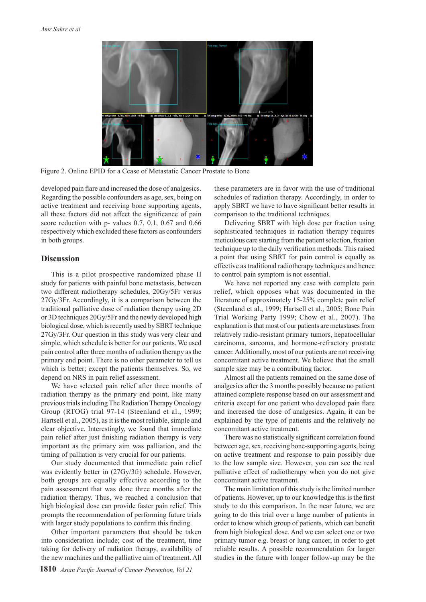

Figure 2. Online EPID for a Ccase of Metastatic Cancer Prostate to Bone

developed pain flare and increased the dose of analgesics. Regarding the possible confounders as age, sex, being on active treatment and receiving bone supporting agents, all these factors did not affect the significance of pain score reduction with p- values 0.7, 0.1, 0.67 and 0.66 respectively which excluded these factors as confounders in both groups.

## **Discussion**

This is a pilot prospective randomized phase II study for patients with painful bone metastasis, between two different radiotherapy schedules, 20Gy/5Fr versus 27Gy/3Fr. Accordingly, it is a comparison between the traditional palliative dose of radiation therapy using 2D or 3D techniques 20Gy/5Fr and the newly developed high biological dose, which is recently used by SBRT technique 27Gy/3Fr. Our question in this study was very clear and simple, which schedule is better for our patients. We used pain control after three months of radiation therapy as the primary end point. There is no other parameter to tell us which is better; except the patients themselves. So, we depend on NRS in pain relief assessment.

We have selected pain relief after three months of radiation therapy as the primary end point, like many previous trials including The Radiation Therapy Oncology Group (RTOG) trial 97-14 (Steenland et al., 1999; Hartsell et al., 2005), as it is the most reliable, simple and clear objective. Interestingly, we found that immediate pain relief after just finishing radiation therapy is very important as the primary aim was palliation, and the timing of palliation is very crucial for our patients.

Our study documented that immediate pain relief was evidently better in (27Gy/3fr) schedule. However, both groups are equally effective according to the pain assessment that was done three months after the radiation therapy. Thus, we reached a conclusion that high biological dose can provide faster pain relief. This prompts the recommendation of performing future trials with larger study populations to confirm this finding.

Other important parameters that should be taken into consideration include; cost of the treatment, time taking for delivery of radiation therapy, availability of the new machines and the palliative aim of treatment. All

these parameters are in favor with the use of traditional schedules of radiation therapy. Accordingly, in order to apply SBRT we have to have significant better results in comparison to the traditional techniques.

Delivering SBRT with high dose per fraction using sophisticated techniques in radiation therapy requires meticulous care starting from the patient selection, fixation technique up to the daily verification methods. This raised a point that using SBRT for pain control is equally as effective as traditional radiotherapy techniques and hence to control pain symptom is not essential.

We have not reported any case with complete pain relief, which opposes what was documented in the literature of approximately 15-25% complete pain relief (Steenland et al., 1999; Hartsell et al., 2005; Bone Pain Trial Working Party 1999; Chow et al., 2007). The explanation is that most of our patients are metastases from relatively radio-resistant primary tumors, hepatocellular carcinoma, sarcoma, and hormone-refractory prostate cancer. Additionally, most of our patients are not receiving concomitant active treatment. We believe that the small sample size may be a contributing factor.

Almost all the patients remained on the same dose of analgesics after the 3 months possibly because no patient attained complete response based on our assessment and criteria except for one patient who developed pain flare and increased the dose of analgesics. Again, it can be explained by the type of patients and the relatively no concomitant active treatment.

There was no statistically significant correlation found between age, sex, receiving bone-supporting agents, being on active treatment and response to pain possibly due to the low sample size. However, you can see the real palliative effect of radiotherapy when you do not give concomitant active treatment.

The main limitation of this study is the limited number of patients. However, up to our knowledge this is the first study to do this comparison. In the near future, we are going to do this trial over a large number of patients in order to know which group of patients, which can benefit from high biological dose. And we can select one or two primary tumor e.g. breast or lung cancer, in order to get reliable results. A possible recommendation for larger studies in the future with longer follow-up may be the